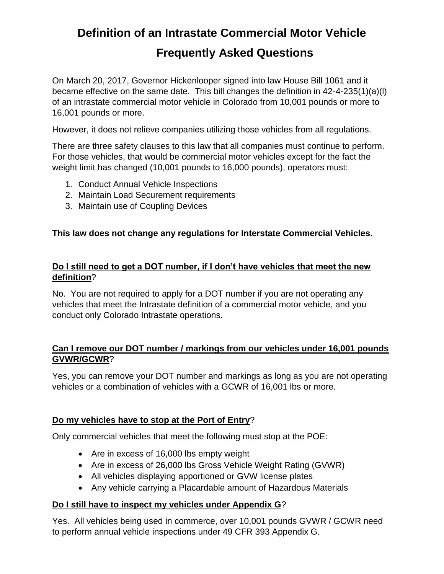# **Definition of an Intrastate Commercial Motor Vehicle Frequently Asked Questions**

On March 20, 2017, Governor Hickenlooper signed into law House Bill 1061 and it became effective on the same date. This bill changes the definition in 42-4-235(1)(a)(l) of an intrastate commercial motor vehicle in Colorado from 10,001 pounds or more to 16,001 pounds or more.

However, it does not relieve companies utilizing those vehicles from all regulations.

There are three safety clauses to this law that all companies must continue to perform. For those vehicles, that would be commercial motor vehicles except for the fact the weight limit has changed (10,001 pounds to 16,000 pounds), operators must:

- 1. Conduct Annual Vehicle Inspections
- 2. Maintain Load Securement requirements
- 3. Maintain use of Coupling Devices

#### **This law does not change any regulations for Interstate Commercial Vehicles.**

#### **Do I still need to get a DOT number, if I don't have vehicles that meet the new definition**?

No. You are not required to apply for a DOT number if you are not operating any vehicles that meet the Intrastate definition of a commercial motor vehicle, and you conduct only Colorado Intrastate operations.

#### **Can I remove our DOT number / markings from our vehicles under 16,001 pounds GVWR/GCWR**?

Yes, you can remove your DOT number and markings as long as you are not operating vehicles or a combination of vehicles with a GCWR of 16,001 lbs or more.

#### **Do my vehicles have to stop at the Port of Entry**?

Only commercial vehicles that meet the following must stop at the POE:

- Are in excess of 16,000 lbs empty weight
- Are in excess of 26,000 lbs Gross Vehicle Weight Rating (GVWR)
- All vehicles displaying apportioned or GVW license plates
- Any vehicle carrying a Placardable amount of Hazardous Materials

#### **Do I still have to inspect my vehicles under Appendix G**?

Yes. All vehicles being used in commerce, over 10,001 pounds GVWR / GCWR need to perform annual vehicle inspections under 49 CFR 393 Appendix G.